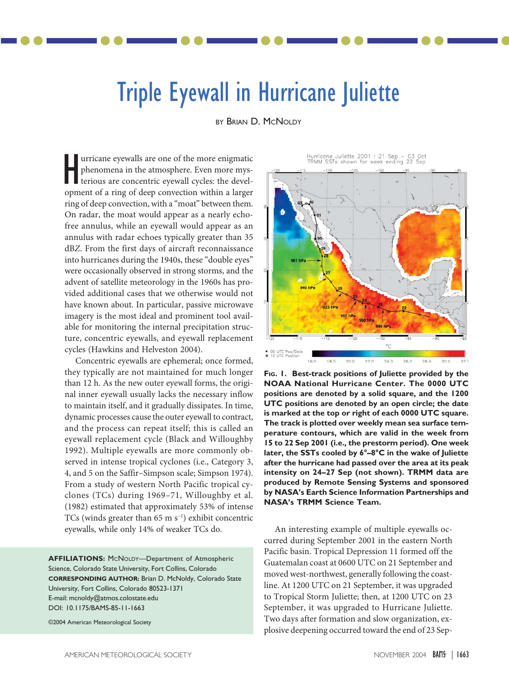## Triple Eyewall in Hurricane Juliette

BY BRIAN D. MCNOLDY

urricane eyewalls are one of the more enigmatic phenomena in the atmosphere. Even more mysterious are concentric eyewall cycles: the devel-Impricane eyewalls are one of the more enigmatic<br>phenomena in the atmosphere. Even more mys-<br>terious are concentric eyewall cycles: the devel-<br>opment of a ring of deep convection within a larger ring of deep convection, with a "moat" between them. On radar, the moat would appear as a nearly echofree annulus, while an eyewall would appear as an annulus with radar echoes typically greater than 35 dB*Z*. From the first days of aircraft reconnaissance into hurricanes during the 1940s, these "double eyes" were occasionally observed in strong storms, and the advent of satellite meteorology in the 1960s has provided additional cases that we otherwise would not have known about. In particular, passive microwave imagery is the most ideal and prominent tool available for monitoring the internal precipitation structure, concentric eyewalls, and eyewall replacement cycles (Hawkins and Helveston 2004).

Concentric eyewalls are ephemeral; once formed, they typically are not maintained for much longer than 12 h. As the new outer eyewall forms, the original inner eyewall usually lacks the necessary inflow to maintain itself, and it gradually dissipates. In time, dynamic processes cause the outer eyewall to contract, and the process can repeat itself; this is called an eyewall replacement cycle (Black and Willoughby 1992). Multiple eyewalls are more commonly observed in intense tropical cyclones (i.e., Category 3, 4, and 5 on the Saffir–Simpson scale; Simpson 1974). From a study of western North Pacific tropical cyclones (TCs) during 1969–71, Willoughby et al. (1982) estimated that approximately 53% of intense TCs (winds greater than 65 m s<sup>-1</sup>) exhibit concentric eyewalls, while only 14% of weaker TCs do.

**AFFILIATIONS:** MCNOLDY—Department of Atmospheric Science, Colorado State University, Fort Collins, Colorado **CORRESPONDING AUTHOR:** Brian D. McNoldy, Colorado State University, Fort Collins, Colorado 80523-1371 E-mail: mcnoldy@atmos.colostate.edu DOI: 10.1175/BAMS-85-11-1663

©2004 American Meteorological Society

**923 hPs**  $24.0$  $26.0$ 

Hurricone Juliette 2001 : 21 Sep –<br>TRMM SSTs shown for week ending

**FIG. 1. Best-track positions of Juliette provided by the NOAA National Hurricane Center. The 0000 UTC positions are denoted by a solid square, and the 1200 UTC positions are denoted by an open circle; the date is marked at the top or right of each 0000 UTC square. The track is plotted over weekly mean sea surface temperature contours, which are valid in the week from 15 to 22 Sep 2001 (i.e., the prestorm period). One week later, the SSTs cooled by 6°–8°C in the wake of Juliette after the hurricane had passed over the area at its peak intensity on 24–27 Sep (not shown). TRMM data are produced by Remote Sensing Systems and sponsored by NASA's Earth Science Information Partnerships and NASA's TRMM Science Team.**

An interesting example of multiple eyewalls occurred during September 2001 in the eastern North Pacific basin. Tropical Depression 11 formed off the Guatemalan coast at 0600 UTC on 21 September and moved west-northwest, generally following the coastline. At 1200 UTC on 21 September, it was upgraded to Tropical Storm Juliette; then, at 1200 UTC on 23 September, it was upgraded to Hurricane Juliette. Two days after formation and slow organization, explosive deepening occurred toward the end of 23 Sep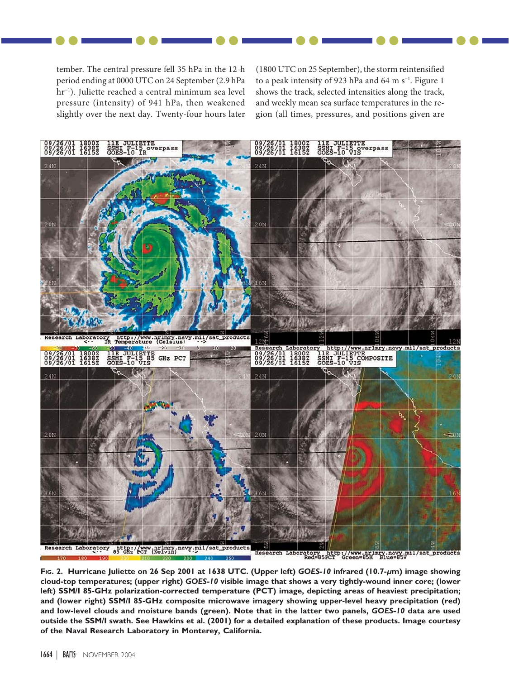tember. The central pressure fell 35 hPa in the 12-h period ending at 0000 UTC on 24 September (2.9 hPa hr<sup>−</sup><sup>1</sup> ). Juliette reached a central minimum sea level pressure (intensity) of 941 hPa, then weakened slightly over the next day. Twenty-four hours later (1800 UTC on 25 September), the storm reintensified to a peak intensity of 923 hPa and 64 m s<sup>-1</sup>. Figure 1 shows the track, selected intensities along the track, and weekly mean sea surface temperatures in the region (all times, pressures, and positions given are



**FIG. 2. Hurricane Juliette on 26 Sep 2001 at 1638 UTC. (Upper left)** *GOES-10* **infrared (10.7-***µ***m) image showing cloud-top temperatures; (upper right)** *GOES-10* **visible image that shows a very tightly-wound inner core; (lower left) SSM/I 85-GHz polarization-corrected temperature (PCT) image, depicting areas of heaviest precipitation; and (lower right) SSM/I 85-GHz composite microwave imagery showing upper-level heavy precipitation (red) and low-level clouds and moisture bands (green). Note that in the latter two panels,** *GOES-10* **data are used outside the SSM/I swath. See Hawkins et al. (2001) for a detailed explanation of these products. Image courtesy of the Naval Research Laboratory in Monterey, California.**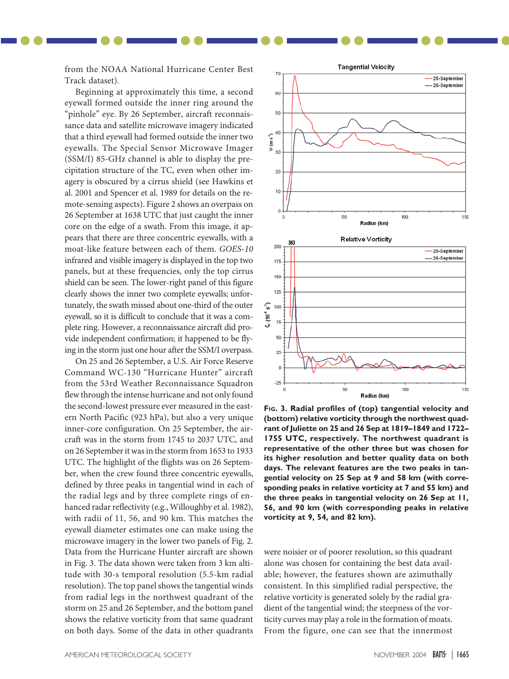from the NOAA National Hurricane Center Best Track dataset).

Beginning at approximately this time, a second eyewall formed outside the inner ring around the "pinhole" eye. By 26 September, aircraft reconnaissance data and satellite microwave imagery indicated that a third eyewall had formed outside the inner two eyewalls. The Special Sensor Microwave Imager (SSM/I) 85-GHz channel is able to display the precipitation structure of the TC, even when other imagery is obscured by a cirrus shield (see Hawkins et al. 2001 and Spencer et al. 1989 for details on the remote-sensing aspects). Figure 2 shows an overpass on 26 September at 1638 UTC that just caught the inner core on the edge of a swath. From this image, it appears that there are three concentric eyewalls, with a moat-like feature between each of them. *GOES-10* infrared and visible imagery is displayed in the top two panels, but at these frequencies, only the top cirrus shield can be seen. The lower-right panel of this figure clearly shows the inner two complete eyewalls; unfortunately, the swath missed about one-third of the outer eyewall, so it is difficult to conclude that it was a complete ring. However, a reconnaissance aircraft did provide independent confirmation; it happened to be flying in the storm just one hour after the SSM/I overpass.

On 25 and 26 September, a U.S. Air Force Reserve Command WC-130 "Hurricane Hunter" aircraft from the 53rd Weather Reconnaissance Squadron flew through the intense hurricane and not only found the second-lowest pressure ever measured in the eastern North Pacific (923 hPa), but also a very unique inner-core configuration. On 25 September, the aircraft was in the storm from 1745 to 2037 UTC, and on 26 September it was in the storm from 1653 to 1933 UTC. The highlight of the flights was on 26 September, when the crew found three concentric eyewalls, defined by three peaks in tangential wind in each of the radial legs and by three complete rings of enhanced radar reflectivity (e.g., Willoughby et al. 1982), with radii of 11, 56, and 90 km. This matches the eyewall diameter estimates one can make using the microwave imagery in the lower two panels of Fig. 2. Data from the Hurricane Hunter aircraft are shown in Fig. 3. The data shown were taken from 3 km altitude with 30-s temporal resolution (5.5-km radial resolution). The top panel shows the tangential winds from radial legs in the northwest quadrant of the storm on 25 and 26 September, and the bottom panel shows the relative vorticity from that same quadrant on both days. Some of the data in other quadrants



**FIG. 3. Radial profiles of (top) tangential velocity and (bottom) relative vorticity through the northwest quadrant of Juliette on 25 and 26 Sep at 1819–1849 and 1722– 1755 UTC, respectively. The northwest quadrant is representative of the other three but was chosen for its higher resolution and better quality data on both days. The relevant features are the two peaks in tangential velocity on 25 Sep at 9 and 58 km (with corresponding peaks in relative vorticity at 7 and 55 km) and the three peaks in tangential velocity on 26 Sep at 11, 56, and 90 km (with corresponding peaks in relative vorticity at 9, 54, and 82 km).**

were noisier or of poorer resolution, so this quadrant alone was chosen for containing the best data available; however, the features shown are azimuthally consistent. In this simplified radial perspective, the relative vorticity is generated solely by the radial gradient of the tangential wind; the steepness of the vorticity curves may play a role in the formation of moats. From the figure, one can see that the innermost